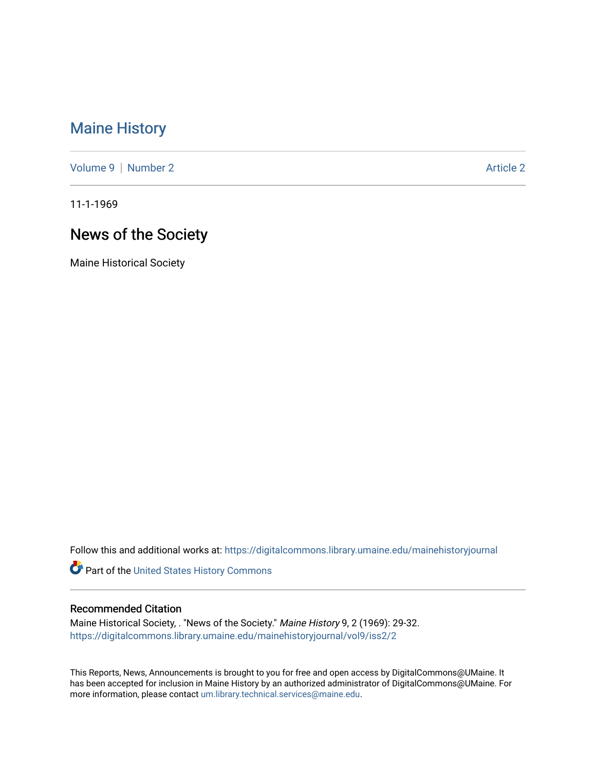# [Maine History](https://digitalcommons.library.umaine.edu/mainehistoryjournal)

[Volume 9](https://digitalcommons.library.umaine.edu/mainehistoryjournal/vol9) | [Number 2](https://digitalcommons.library.umaine.edu/mainehistoryjournal/vol9/iss2) Article 2

11-1-1969

# News of the Society

Maine Historical Society

Follow this and additional works at: [https://digitalcommons.library.umaine.edu/mainehistoryjournal](https://digitalcommons.library.umaine.edu/mainehistoryjournal?utm_source=digitalcommons.library.umaine.edu%2Fmainehistoryjournal%2Fvol9%2Fiss2%2F2&utm_medium=PDF&utm_campaign=PDFCoverPages) 

Part of the [United States History Commons](http://network.bepress.com/hgg/discipline/495?utm_source=digitalcommons.library.umaine.edu%2Fmainehistoryjournal%2Fvol9%2Fiss2%2F2&utm_medium=PDF&utm_campaign=PDFCoverPages) 

#### Recommended Citation

Maine Historical Society, . "News of the Society." Maine History 9, 2 (1969): 29-32. [https://digitalcommons.library.umaine.edu/mainehistoryjournal/vol9/iss2/2](https://digitalcommons.library.umaine.edu/mainehistoryjournal/vol9/iss2/2?utm_source=digitalcommons.library.umaine.edu%2Fmainehistoryjournal%2Fvol9%2Fiss2%2F2&utm_medium=PDF&utm_campaign=PDFCoverPages)

This Reports, News, Announcements is brought to you for free and open access by DigitalCommons@UMaine. It has been accepted for inclusion in Maine History by an authorized administrator of DigitalCommons@UMaine. For more information, please contact [um.library.technical.services@maine.edu](mailto:um.library.technical.services@maine.edu).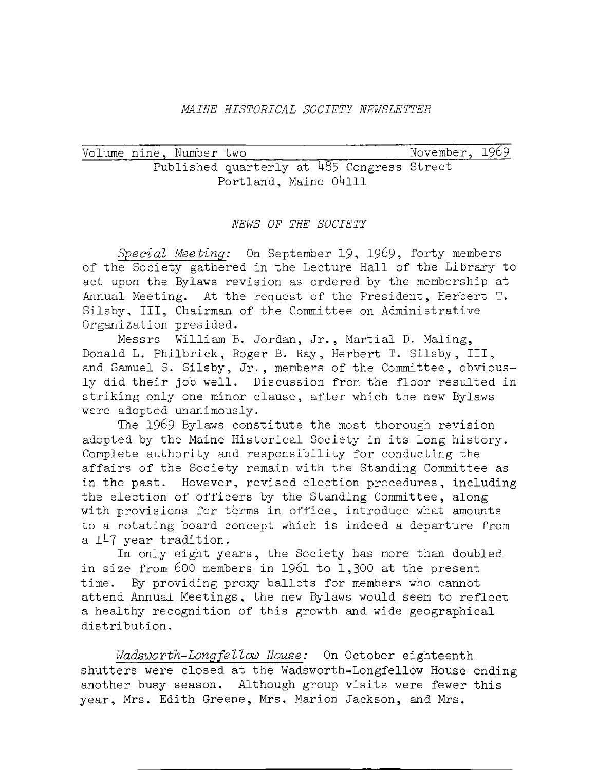## *MAINE HISTORICAL SOCIETY NEWSLETTER*

Volume nine, Number two November, 1969 Published quarterly at 485 Congress Street Portland. Maine 04111

#### *NEWS OF THE SOCIETY*

*Special Meeting:* On September 19, 1969, forty members of the Society gathered in the Lecture Hall of the Library to act upon the Bylaws revision as ordered by the membership at Annual Meeting. At the request of the President, Herbert T. Silsby, III, Chairman of the Committee on Administrative Organization presided.

Messrs William B. Jordan, Jr., Martial D. Maling, Donald L. Philbrick, Roger B. Ray, Herbert T. Silsby, III, and Samuel S. Silsby, Jr., members of the Committee, obviously did their job well. Discussion from the floor resulted in striking only one minor clause, after which the new Bylaws were adopted unanimously.

The 1969 Bylaws constitute the most thorough revision adopted by the Maine Historical Society in its long history. Complete authority and responsibility for conducting the affairs of the Society remain with the Standing Committee as in the past. However, revised election procedures, including the election of officers by the Standing Committee, along with provisions for terms in office, introduce what amounts to a rotating board concept which is indeed a departure from a 147 year tradition.

In only eight years, the Society has more than doubled in size from 600 members in 1961 to 1,300 at the present time. By providing proxy ballots for members who cannot attend Annual Meetings, the new Bylaws would seem to reflect a healthy recognition of this growth and wide geographical distribution.

*Wadsworth-Longfellow House:* On October eighteenth shutters were closed at the Wadsworth-Longfellow House ending another busy season. Although group visits were fewer this year, Mrs. Edith Greene, Mrs. Marion Jackson, and Mrs.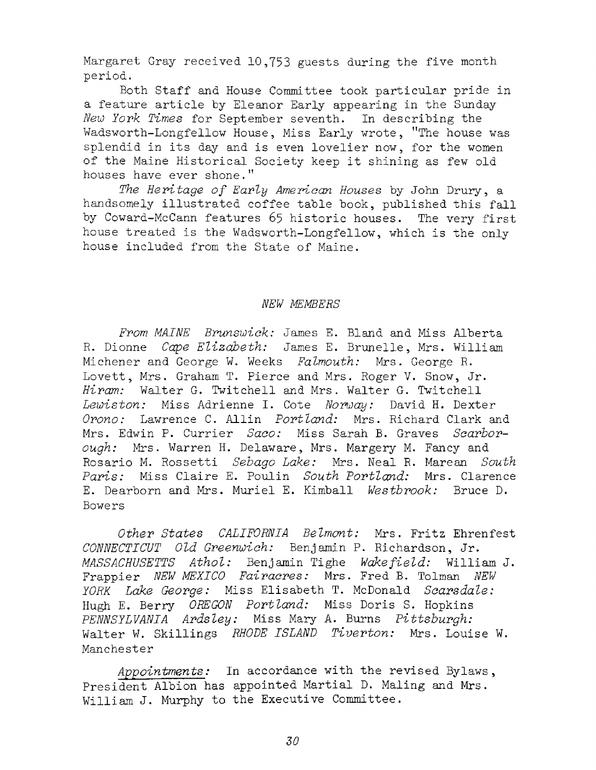Margaret Gray received 10,753 guests during the five month period.

Both Staff and House Committee took particular pride in a feature article by Eleanor Early appearing in the Sunday *New York Times* for September seventh. In describing the Wadsworth-Longfellow House, Miss Early wrote, "The house was splendid in its day and is even lovelier now, for the women of the Maine Historical Society keep it shining as few old houses have ever shone."

The Heritage of Early American Houses by John Drury, a handsomely illustrated coffee table book, published this fall by Coward-McCann features 65 historic houses. The very first house treated is the Wadsworth-Longfellow, which is the only house included from the State of Maine.

#### *NEW MEMBERS*

From MAINE Brunswick: James E. Bland and Miss Alberta R. Dionne *Cape Elizabeth*: James E. Brunelle, Mrs. William Michener and George W. Weeks *Falmouth:* Mrs. George R. Lovett, Mrs. Graham T. Pierce and Mrs. Roger V. Snow, Jr. *Hiram:* Walter G. Twitchell and Mrs. Walter G. Twitchell *L ew isto n :* Miss Adrienne I. Cote *Norway:* David H. Dexter *Orono:* Lawrence C. Allin *Portland:* Mrs. Richard Clark and Mrs. Edwin P. Currier *Saco:* Miss Sarah B. Graves *Scarborough:* Mrs. Warren H. Delaware, Mrs. Margery M. Fancy and R osario M. R ossetti *Sebago Lake:* Mrs. Neal R. Marean *South Paris:* Miss Claire E. Poulin *South Portland:* Mrs. Clarence E. Dearborn and Mrs. M uriel E. Kimball *W estbrook:* Bruce D. Bowers

*O ther S ta tes CALIFORNIA Belm ont:* Mrs. F ritz Ehrenfest *CONNECTICUT Old Greenwich:* Benjamin P. Richardson, Jr. *MASSACHUSETTS Athol:* Benjamin Tighe *Wakefield:* William J. Frappier *NEW MEXICO Fairacres*: Mrs. Fred B. Tolman *NEW YORK Lake George:* Miss Elisabeth T. McDonald *Scarsdale*: Hugh E. Berry *OREGON Portland*: Miss Doris S. Hopkins *PENNSYLVANIA Ardsley:* Miss Mary A. Burns *Pittsburgh:* Walter W. Skillings *RHODE ISLAND Tiverton:* Mrs. Louise W. Manchester

Appointments: In accordance with the revised Bylaws, President Albion has appointed Martial D. Maling and Mrs. William J. Murphy to the Executive Committee.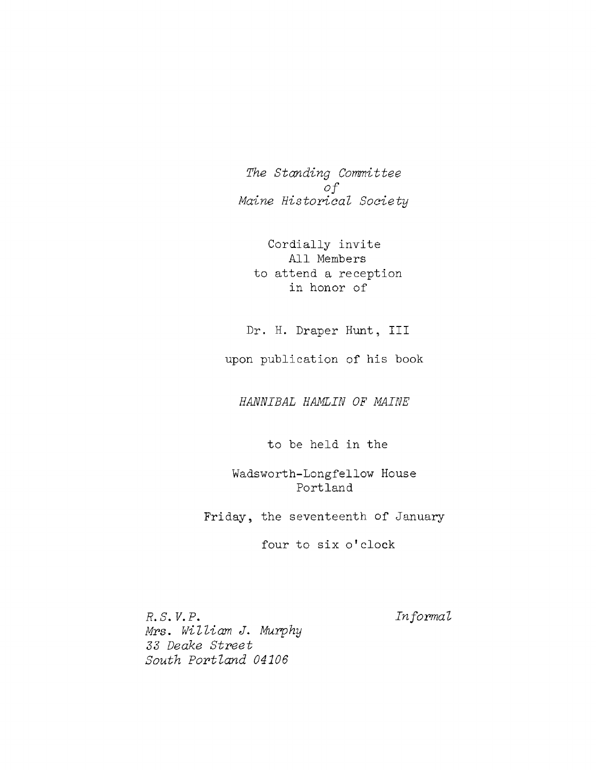*The Standing Committee*  $of$ *Maine Historical Society* 

Cordially invite All Members to attend a reception in honor of

Dr. H. Draper Hunt, III

upon publication of his book

*HANNIBAL HAMLIN OF MAINE*

to be held in the

Wadsworth-Longfellow House Portland

Friday, the seventeenth of January

four to six o'clock

*R. S*. *V. P*. *Inform al M rs*. *W illiam J. Murphy* 33 Deake Street South Portland 04106